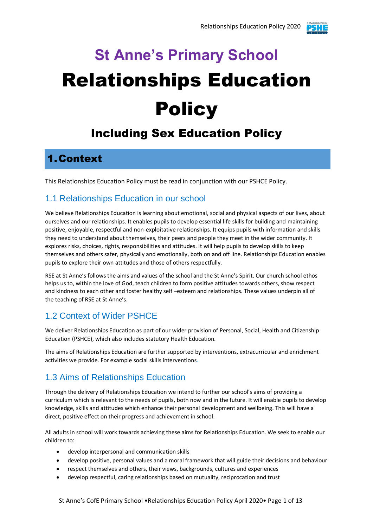# **St Anne's Primary School** Relationships Education **Policy**

# Including Sex Education Policy

# 1.Context

This Relationships Education Policy must be read in conjunction with our PSHCE Policy.

#### 1.1 Relationships Education in our school

We believe Relationships Education is learning about emotional, social and physical aspects of our lives, about ourselves and our relationships. It enables pupils to develop essential life skills for building and maintaining positive, enjoyable, respectful and non-exploitative relationships. It equips pupils with information and skills they need to understand about themselves, their peers and people they meet in the wider community. It explores risks, choices, rights, responsibilities and attitudes. It will help pupils to develop skills to keep themselves and others safer, physically and emotionally, both on and off line. Relationships Education enables pupils to explore their own attitudes and those of others respectfully.

RSE at St Anne's follows the aims and values of the school and the St Anne's Spirit. Our church school ethos helps us to, within the love of God, teach children to form positive attitudes towards others, show respect and kindness to each other and foster healthy self –esteem and relationships. These values underpin all of the teaching of RSE at St Anne's.

# 1.2 Context of Wider PSHCE

We deliver Relationships Education as part of our wider provision of Personal, Social, Health and Citizenship Education (PSHCE), which also includes statutory Health Education.

The aims of Relationships Education are further supported by interventions, extracurricular and enrichment activities we provide. For example social skills interventions.

# 1.3 Aims of Relationships Education

Through the delivery of Relationships Education we intend to further our school's aims of providing a curriculum which is relevant to the needs of pupils, both now and in the future. It will enable pupils to develop knowledge, skills and attitudes which enhance their personal development and wellbeing. This will have a direct, positive effect on their progress and achievement in school.

All adults in school will work towards achieving these aims for Relationships Education. We seek to enable our children to:

- develop interpersonal and communication skills
- develop positive, personal values and a moral framework that will guide their decisions and behaviour
- respect themselves and others, their views, backgrounds, cultures and experiences
- develop respectful, caring relationships based on mutuality, reciprocation and trust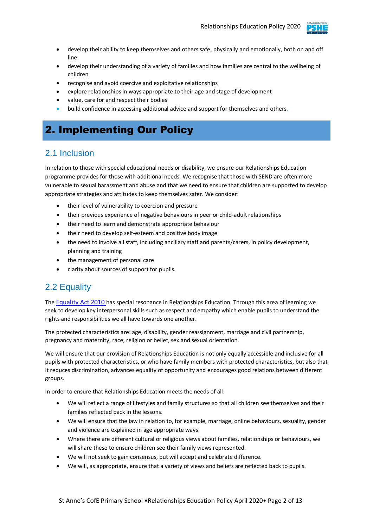

- develop their ability to keep themselves and others safe, physically and emotionally, both on and off line
- develop their understanding of a variety of families and how families are central to the wellbeing of children
- recognise and avoid coercive and exploitative relationships
- explore relationships in ways appropriate to their age and stage of development
- value, care for and respect their bodies
- build confidence in accessing additional advice and support for themselves and others.

# 2. Implementing Our Policy

### 2.1 Inclusion

In relation to those with special educational needs or disability, we ensure our Relationships Education programme provides for those with additional needs. We recognise that those with SEND are often more vulnerable to sexual harassment and abuse and that we need to ensure that children are supported to develop appropriate strategies and attitudes to keep themselves safer. We consider:

- their level of vulnerability to coercion and pressure
- their previous experience of negative behaviours in peer or child-adult relationships
- their need to learn and demonstrate appropriate behaviour
- their need to develop self-esteem and positive body image
- the need to involve all staff, including ancillary staff and parents/carers, in policy development, planning and training
- the management of personal care
- clarity about sources of support for pupils.

### 2.2 Equality

The [Equality Act 2010](http://www.legislation.gov.uk/ukpga/2010/15/contents) has special resonance in Relationships Education. Through this area of learning we seek to develop key interpersonal skills such as respect and empathy which enable pupils to understand the rights and responsibilities we all have towards one another.

The protected characteristics are: age, disability, gender reassignment, marriage and civil partnership, pregnancy and maternity, race, religion or belief, sex and sexual orientation.

We will ensure that our provision of Relationships Education is not only equally accessible and inclusive for all pupils with protected characteristics, or who have family members with protected characteristics, but also that it reduces discrimination, advances equality of opportunity and encourages good relations between different groups.

In order to ensure that Relationships Education meets the needs of all:

- We will reflect a range of lifestyles and family structures so that all children see themselves and their families reflected back in the lessons.
- We will ensure that the law in relation to, for example, marriage, online behaviours, sexuality, gender and violence are explained in age appropriate ways.
- Where there are different cultural or religious views about families, relationships or behaviours, we will share these to ensure children see their family views represented.
- We will not seek to gain consensus, but will accept and celebrate difference.
- We will, as appropriate, ensure that a variety of views and beliefs are reflected back to pupils.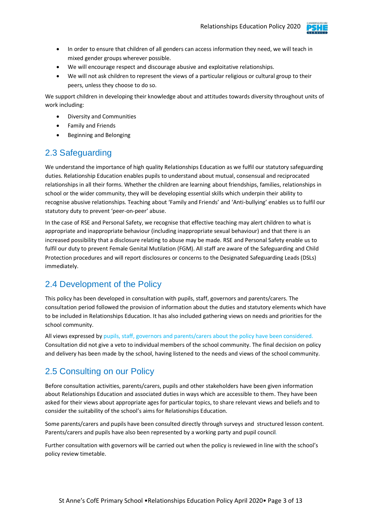

- In order to ensure that children of all genders can access information they need, we will teach in mixed gender groups wherever possible.
- We will encourage respect and discourage abusive and exploitative relationships.
- We will not ask children to represent the views of a particular religious or cultural group to their peers, unless they choose to do so.

We support children in developing their knowledge about and attitudes towards diversity throughout units of work including:

- Diversity and Communities
- Family and Friends
- Beginning and Belonging

#### 2.3 Safeguarding

We understand the importance of high quality Relationships Education as we fulfil our statutory safeguarding duties. Relationship Education enables pupils to understand about mutual, consensual and reciprocated relationships in all their forms. Whether the children are learning about friendships, families, relationships in school or the wider community, they will be developing essential skills which underpin their ability to recognise abusive relationships. Teaching about 'Family and Friends' and 'Anti-bullying' enables us to fulfil our statutory duty to prevent 'peer-on-peer' abuse.

In the case of RSE and Personal Safety, we recognise that effective teaching may alert children to what is appropriate and inappropriate behaviour (including inappropriate sexual behaviour) and that there is an increased possibility that a disclosure relating to abuse may be made. RSE and Personal Safety enable us to fulfil our duty to prevent Female Genital Mutilation (FGM). All staff are aware of the Safeguarding and Child Protection procedures and will report disclosures or concerns to the Designated Safeguarding Leads (DSLs) immediately.

### 2.4 Development of the Policy

This policy has been developed in consultation with pupils, staff, governors and parents/carers. The consultation period followed the provision of information about the duties and statutory elements which have to be included in Relationships Education. It has also included gathering views on needs and priorities for the school community.

All views expressed by pupils, staff, governors and parents/carers about the policy have been considered. Consultation did not give a veto to individual members of the school community. The final decision on policy and delivery has been made by the school, having listened to the needs and views of the school community.

#### 2.5 Consulting on our Policy

Before consultation activities, parents/carers, pupils and other stakeholders have been given information about Relationships Education and associated duties in ways which are accessible to them. They have been asked for their views about appropriate ages for particular topics, to share relevant views and beliefs and to consider the suitability of the school's aims for Relationships Education.

Some parents/carers and pupils have been consulted directly through surveys and structured lesson content. Parents/carers and pupils have also been represented by a working party and pupil council*.*

Further consultation with governors will be carried out when the policy is reviewed in line with the school's policy review timetable.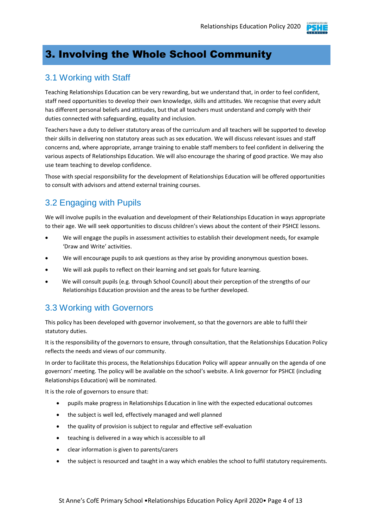

# 3. Involving the Whole School Community

#### 3.1 Working with Staff

Teaching Relationships Education can be very rewarding, but we understand that, in order to feel confident, staff need opportunities to develop their own knowledge, skills and attitudes. We recognise that every adult has different personal beliefs and attitudes, but that all teachers must understand and comply with their duties connected with safeguarding, equality and inclusion.

Teachers have a duty to deliver statutory areas of the curriculum and all teachers will be supported to develop their skills in delivering non statutory areas such as sex education. We will discuss relevant issues and staff concerns and, where appropriate, arrange training to enable staff members to feel confident in delivering the various aspects of Relationships Education. We will also encourage the sharing of good practice. We may also use team teaching to develop confidence.

Those with special responsibility for the development of Relationships Education will be offered opportunities to consult with advisors and attend external training courses.

# 3.2 Engaging with Pupils

We will involve pupils in the evaluation and development of their Relationships Education in ways appropriate to their age. We will seek opportunities to discuss children's views about the content of their PSHCE lessons.

- We will engage the pupils in assessment activities to establish their development needs, for example 'Draw and Write' activities.
- We will encourage pupils to ask questions as they arise by providing anonymous question boxes.
- We will ask pupils to reflect on their learning and set goals for future learning.
- We will consult pupils (e.g. through School Council) about their perception of the strengths of our Relationships Education provision and the areas to be further developed.

#### 3.3 Working with Governors

This policy has been developed with governor involvement, so that the governors are able to fulfil their statutory duties.

It is the responsibility of the governors to ensure, through consultation, that the Relationships Education Policy reflects the needs and views of our community.

In order to facilitate this process, the Relationships Education Policy will appear annually on the agenda of one governors' meeting. The policy will be available on the school's website. A link governor for PSHCE (including Relationships Education) will be nominated.

It is the role of governors to ensure that:

- pupils make progress in Relationships Education in line with the expected educational outcomes
- the subject is well led, effectively managed and well planned
- the quality of provision is subject to regular and effective self-evaluation
- teaching is delivered in a way which is accessible to all
- clear information is given to parents/carers
- the subject is resourced and taught in a way which enables the school to fulfil statutory requirements.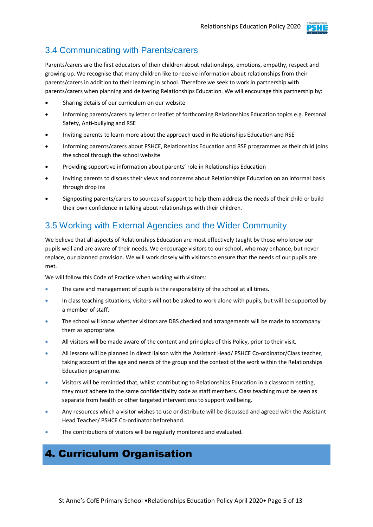

## 3.4 Communicating with Parents/carers

Parents/carers are the first educators of their children about relationships, emotions, empathy, respect and growing up. We recognise that many children like to receive information about relationships from their parents/carers in addition to their learning in school. Therefore we seek to work in partnership with parents/carers when planning and delivering Relationships Education. We will encourage this partnership by:

- Sharing details of our curriculum on our website
- Informing parents/carers by letter or leaflet of forthcoming Relationships Education topics e.g. Personal Safety, Anti-bullying and RSE
- Inviting parents to learn more about the approach used in Relationships Education and RSE
- Informing parents/carers about PSHCE, Relationships Education and RSE programmes as their child joins the school through the school website
- Providing supportive information about parents' role in Relationships Education
- Inviting parents to discuss their views and concerns about Relationships Education on an informal basis through drop ins
- Signposting parents/carers to sources of support to help them address the needs of their child or build their own confidence in talking about relationships with their children.

## 3.5 Working with External Agencies and the Wider Community

We believe that all aspects of Relationships Education are most effectively taught by those who know our pupils well and are aware of their needs. We encourage visitors to our school, who may enhance, but never replace, our planned provision. We will work closely with visitors to ensure that the needs of our pupils are met.

We will follow this Code of Practice when working with visitors:

- The care and management of pupils is the responsibility of the school at all times.
- In class teaching situations, visitors will not be asked to work alone with pupils, but will be supported by a member of staff.
- The school will know whether visitors are DBS checked and arrangements will be made to accompany them as appropriate.
- All visitors will be made aware of the content and principles of this Policy, prior to their visit.
- All lessons will be planned in direct liaison with the Assistant Head/ PSHCE Co-ordinator/Class teacher, taking account of the age and needs of the group and the context of the work within the Relationships Education programme.
- Visitors will be reminded that, whilst contributing to Relationships Education in a classroom setting, they must adhere to the same confidentiality code as staff members. Class teaching must be seen as separate from health or other targeted interventions to support wellbeing.
- Any resources which a visitor wishes to use or distribute will be discussed and agreed with the Assistant Head Teacher/ PSHCE Co-ordinator beforehand.
- The contributions of visitors will be regularly monitored and evaluated.

# 4. Curriculum Organisation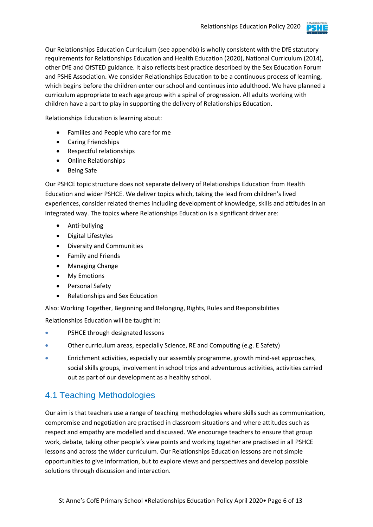

Our Relationships Education Curriculum (see appendix) is wholly consistent with the DfE statutory requirements for Relationships Education and Health Education (2020), National Curriculum (2014), other DfE and OfSTED guidance. It also reflects best practice described by the Sex Education Forum and PSHE Association. We consider Relationships Education to be a continuous process of learning, which begins before the children enter our school and continues into adulthood. We have planned a curriculum appropriate to each age group with a spiral of progression. All adults working with children have a part to play in supporting the delivery of Relationships Education.

Relationships Education is learning about:

- Families and People who care for me
- Caring Friendships
- Respectful relationships
- Online Relationships
- Being Safe

Our PSHCE topic structure does not separate delivery of Relationships Education from Health Education and wider PSHCE. We deliver topics which, taking the lead from children's lived experiences, consider related themes including development of knowledge, skills and attitudes in an integrated way. The topics where Relationships Education is a significant driver are:

- Anti-bullying
- Digital Lifestyles
- Diversity and Communities
- **•** Family and Friends
- Managing Change
- My Emotions
- Personal Safety
- Relationships and Sex Education

Also: Working Together, Beginning and Belonging, Rights, Rules and Responsibilities

Relationships Education will be taught in:

- PSHCE through designated lessons
- Other curriculum areas, especially Science, RE and Computing (e.g. E Safety)
- Enrichment activities, especially our assembly programme, growth mind-set approaches, social skills groups, involvement in school trips and adventurous activities, activities carried out as part of our development as a healthy school.

### 4.1 Teaching Methodologies

Our aim is that teachers use a range of teaching methodologies where skills such as communication, compromise and negotiation are practised in classroom situations and where attitudes such as respect and empathy are modelled and discussed. We encourage teachers to ensure that group work, debate, taking other people's view points and working together are practised in all PSHCE lessons and across the wider curriculum. Our Relationships Education lessons are not simple opportunities to give information, but to explore views and perspectives and develop possible solutions through discussion and interaction.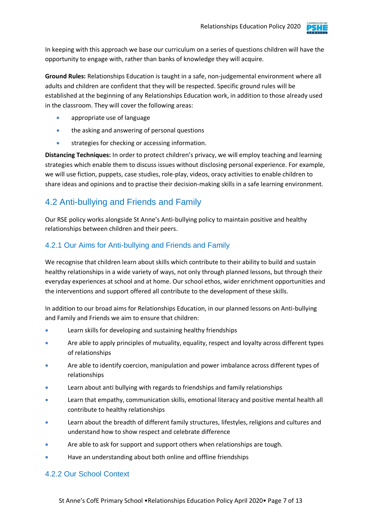

In keeping with this approach we base our curriculum on a series of questions children will have the opportunity to engage with, rather than banks of knowledge they will acquire.

**Ground Rules:** Relationships Education is taught in a safe, non-judgemental environment where all adults and children are confident that they will be respected. Specific ground rules will be established at the beginning of any Relationships Education work, in addition to those already used in the classroom. They will cover the following areas:

- appropriate use of language
- the asking and answering of personal questions
- strategies for checking or accessing information.

**Distancing Techniques:** In order to protect children's privacy, we will employ teaching and learning strategies which enable them to discuss issues without disclosing personal experience. For example, we will use fiction, puppets, case studies, role-play, videos, oracy activities to enable children to share ideas and opinions and to practise their decision-making skills in a safe learning environment.

## 4.2 Anti-bullying and Friends and Family

Our RSE policy works alongside St Anne's Anti-bullying policy to maintain positive and healthy relationships between children and their peers.

#### 4.2.1 Our Aims for Anti-bullying and Friends and Family

We recognise that children learn about skills which contribute to their ability to build and sustain healthy relationships in a wide variety of ways, not only through planned lessons, but through their everyday experiences at school and at home. Our school ethos, wider enrichment opportunities and the interventions and support offered all contribute to the development of these skills.

In addition to our broad aims for Relationships Education, in our planned lessons on Anti-bullying and Family and Friends we aim to ensure that children:

- Learn skills for developing and sustaining healthy friendships
- Are able to apply principles of mutuality, equality, respect and loyalty across different types of relationships
- Are able to identify coercion, manipulation and power imbalance across different types of relationships
- Learn about anti bullying with regards to friendships and family relationships
- Learn that empathy, communication skills, emotional literacy and positive mental health all contribute to healthy relationships
- Learn about the breadth of different family structures, lifestyles, religions and cultures and understand how to show respect and celebrate difference
- Are able to ask for support and support others when relationships are tough.
- Have an understanding about both online and offline friendships

#### 4.2.2 Our School Context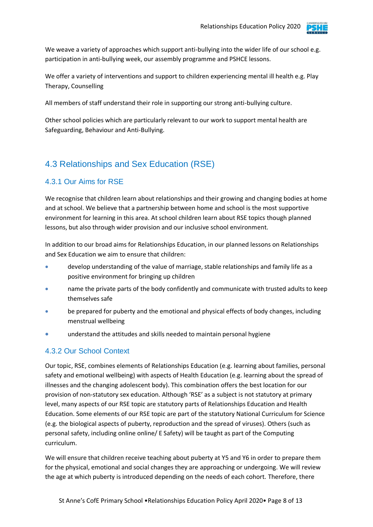

We weave a variety of approaches which support anti-bullying into the wider life of our school e.g. participation in anti-bullying week, our assembly programme and PSHCE lessons.

We offer a variety of interventions and support to children experiencing mental ill health e.g. Play Therapy, Counselling

All members of staff understand their role in supporting our strong anti-bullying culture.

Other school policies which are particularly relevant to our work to support mental health are Safeguarding, Behaviour and Anti-Bullying.

## 4.3 Relationships and Sex Education (RSE)

#### 4.3.1 Our Aims for RSE

We recognise that children learn about relationships and their growing and changing bodies at home and at school. We believe that a partnership between home and school is the most supportive environment for learning in this area. At school children learn about RSE topics though planned lessons, but also through wider provision and our inclusive school environment.

In addition to our broad aims for Relationships Education, in our planned lessons on Relationships and Sex Education we aim to ensure that children:

- develop understanding of the value of marriage, stable relationships and family life as a positive environment for bringing up children
- name the private parts of the body confidently and communicate with trusted adults to keep themselves safe
- be prepared for puberty and the emotional and physical effects of body changes, including menstrual wellbeing
- understand the attitudes and skills needed to maintain personal hygiene

#### 4.3.2 Our School Context

Our topic, RSE, combines elements of Relationships Education (e.g. learning about families, personal safety and emotional wellbeing) with aspects of Health Education (e.g. learning about the spread of illnesses and the changing adolescent body). This combination offers the best location for our provision of non-statutory sex education. Although 'RSE' as a subject is not statutory at primary level, many aspects of our RSE topic are statutory parts of Relationships Education and Health Education. Some elements of our RSE topic are part of the statutory National Curriculum for Science (e.g. the biological aspects of puberty, reproduction and the spread of viruses). Others (such as personal safety, including online online/ E Safety) will be taught as part of the Computing curriculum.

We will ensure that children receive teaching about puberty at Y5 and Y6 in order to prepare them for the physical, emotional and social changes they are approaching or undergoing. We will review the age at which puberty is introduced depending on the needs of each cohort. Therefore, there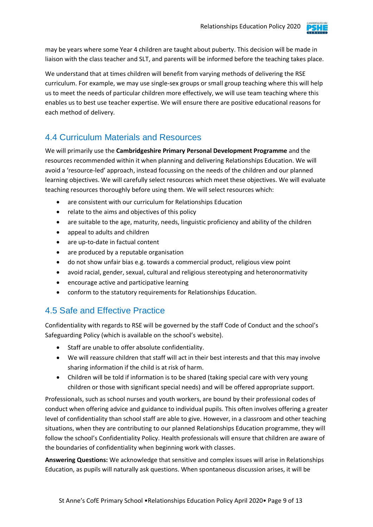

may be years where some Year 4 children are taught about puberty. This decision will be made in liaison with the class teacher and SLT, and parents will be informed before the teaching takes place.

We understand that at times children will benefit from varying methods of delivering the RSE curriculum. For example, we may use single-sex groups or small group teaching where this will help us to meet the needs of particular children more effectively, we will use team teaching where this enables us to best use teacher expertise. We will ensure there are positive educational reasons for each method of delivery.

## 4.4 Curriculum Materials and Resources

We will primarily use the **Cambridgeshire Primary Personal Development Programme** and the resources recommended within it when planning and delivering Relationships Education. We will avoid a 'resource-led' approach, instead focussing on the needs of the children and our planned learning objectives. We will carefully select resources which meet these objectives. We will evaluate teaching resources thoroughly before using them. We will select resources which:

- are consistent with our curriculum for Relationships Education
- relate to the aims and objectives of this policy
- are suitable to the age, maturity, needs, linguistic proficiency and ability of the children
- appeal to adults and children
- are up-to-date in factual content
- are produced by a reputable organisation
- do not show unfair bias e.g. towards a commercial product, religious view point
- avoid racial, gender, sexual, cultural and religious stereotyping and heteronormativity
- encourage active and participative learning
- conform to the statutory requirements for Relationships Education.

### 4.5 Safe and Effective Practice

Confidentiality with regards to RSE will be governed by the staff Code of Conduct and the school's Safeguarding Policy (which is available on the school's website).

- Staff are unable to offer absolute confidentiality.
- We will reassure children that staff will act in their best interests and that this may involve sharing information if the child is at risk of harm.
- Children will be told if information is to be shared (taking special care with very young children or those with significant special needs) and will be offered appropriate support.

Professionals, such as school nurses and youth workers, are bound by their professional codes of conduct when offering advice and guidance to individual pupils. This often involves offering a greater level of confidentiality than school staff are able to give. However, in a classroom and other teaching situations, when they are contributing to our planned Relationships Education programme, they will follow the school's Confidentiality Policy. Health professionals will ensure that children are aware of the boundaries of confidentiality when beginning work with classes.

**Answering Questions:** We acknowledge that sensitive and complex issues will arise in Relationships Education, as pupils will naturally ask questions. When spontaneous discussion arises, it will be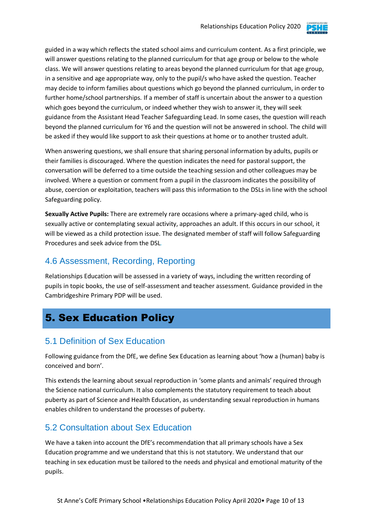

guided in a way which reflects the stated school aims and curriculum content. As a first principle, we will answer questions relating to the planned curriculum for that age group or below to the whole class. We will answer questions relating to areas beyond the planned curriculum for that age group, in a sensitive and age appropriate way, only to the pupil/s who have asked the question. Teacher may decide to inform families about questions which go beyond the planned curriculum, in order to further home/school partnerships*.* If a member of staff is uncertain about the answer to a question which goes beyond the curriculum, or indeed whether they wish to answer it, they will seek guidance from the Assistant Head Teacher Safeguarding Lead. In some cases, the question will reach beyond the planned curriculum for Y6 and the question will not be answered in school. The child will be asked if they would like support to ask their questions at home or to another trusted adult.

When answering questions, we shall ensure that sharing personal information by adults, pupils or their families is discouraged. Where the question indicates the need for pastoral support, the conversation will be deferred to a time outside the teaching session and other colleagues may be involved. Where a question or comment from a pupil in the classroom indicates the possibility of abuse, coercion or exploitation, teachers will pass this information to the DSLs in line with the school Safeguarding policy.

**Sexually Active Pupils:** There are extremely rare occasions where a primary-aged child, who is sexually active or contemplating sexual activity, approaches an adult. If this occurs in our school, it will be viewed as a child protection issue. The designated member of staff will follow Safeguarding Procedures and seek advice from the DSL*.*

#### 4.6 Assessment, Recording, Reporting

Relationships Education will be assessed in a variety of ways, including the written recording of pupils in topic books, the use of self-assessment and teacher assessment. Guidance provided in the Cambridgeshire Primary PDP will be used.

# 5. Sex Education Policy

### 5.1 Definition of Sex Education

Following guidance from the DfE, we define Sex Education as learning about 'how a (human) baby is conceived and born'.

This extends the learning about sexual reproduction in 'some plants and animals' required through the Science national curriculum. It also complements the statutory requirement to teach about puberty as part of Science and Health Education, as understanding sexual reproduction in humans enables children to understand the processes of puberty.

### 5.2 Consultation about Sex Education

We have a taken into account the DfE's recommendation that all primary schools have a Sex Education programme and we understand that this is not statutory. We understand that our teaching in sex education must be tailored to the needs and physical and emotional maturity of the pupils.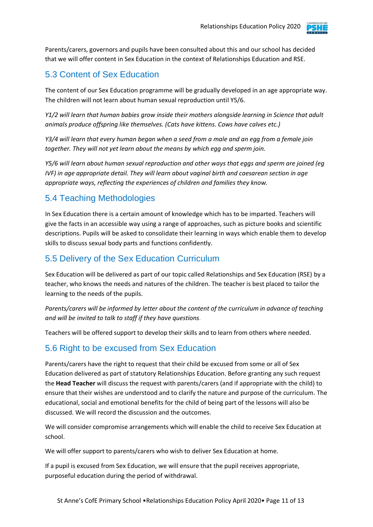

Parents/carers, governors and pupils have been consulted about this and our school has decided that we will offer content in Sex Education in the context of Relationships Education and RSE.

# 5.3 Content of Sex Education

The content of our Sex Education programme will be gradually developed in an age appropriate way. The children will not learn about human sexual reproduction until Y5/6.

*Y1/2 will learn that human babies grow inside their mothers alongside learning in Science that adult animals produce offspring like themselves. (Cats have kittens. Cows have calves etc.)*

*Y3/4 will learn that every human began when a seed from a male and an egg from a female join together. They will not yet learn about the means by which egg and sperm join.*

*Y5/6 will learn about human sexual reproduction and other ways that eggs and sperm are joined (eg IVF) in age appropriate detail. They will learn about vaginal birth and caesarean section in age appropriate ways, reflecting the experiences of children and families they know.*

#### 5.4 Teaching Methodologies

In Sex Education there is a certain amount of knowledge which has to be imparted. Teachers will give the facts in an accessible way using a range of approaches, such as picture books and scientific descriptions. Pupils will be asked to consolidate their learning in ways which enable them to develop skills to discuss sexual body parts and functions confidently.

### 5.5 Delivery of the Sex Education Curriculum

Sex Education will be delivered as part of our topic called Relationships and Sex Education (RSE) by a teacher, who knows the needs and natures of the children. The teacher is best placed to tailor the learning to the needs of the pupils.

*Parents/carers will be informed by letter about the content of the curriculum in advance of teaching and will be invited to talk to staff if they have questions.*

Teachers will be offered support to develop their skills and to learn from others where needed.

### 5.6 Right to be excused from Sex Education

Parents/carers have the right to request that their child be excused from some or all of Sex Education delivered as part of statutory Relationships Education. Before granting any such request the **Head Teacher** will discuss the request with parents/carers (and if appropriate with the child) to ensure that their wishes are understood and to clarify the nature and purpose of the curriculum. The educational, social and emotional benefits for the child of being part of the lessons will also be discussed. We will record the discussion and the outcomes.

We will consider compromise arrangements which will enable the child to receive Sex Education at school.

We will offer support to parents/carers who wish to deliver Sex Education at home.

If a pupil is excused from Sex Education, we will ensure that the pupil receives appropriate, purposeful education during the period of withdrawal.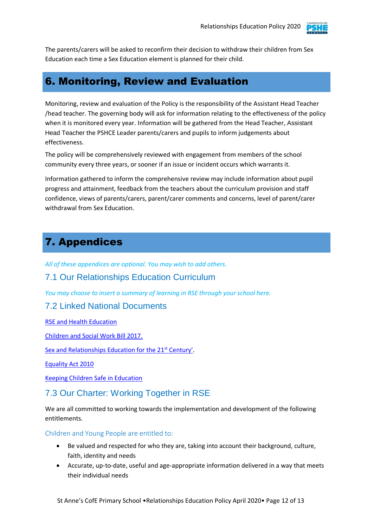

The parents/carers will be asked to reconfirm their decision to withdraw their children from Sex Education each time a Sex Education element is planned for their child.

# 6. Monitoring, Review and Evaluation

Monitoring, review and evaluation of the Policy is the responsibility of the Assistant Head Teacher /head teacher. The governing body will ask for information relating to the effectiveness of the policy when it is monitored every year. Information will be gathered from the Head Teacher, Assistant Head Teacher the PSHCE Leader parents/carers and pupils to inform judgements about effectiveness.

The policy will be comprehensively reviewed with engagement from members of the school community every three years, or sooner if an issue or incident occurs which warrants it.

Information gathered to inform the comprehensive review may include information about pupil progress and attainment, feedback from the teachers about the curriculum provision and staff confidence, views of parents/carers, parent/carer comments and concerns, level of parent/carer withdrawal from Sex Education.

# 7. Appendices

*All of these appendices are optional. You may wish to add others.*

#### 7.1 Our Relationships Education Curriculum

*You may choose to insert a summary of learning in RSE through your school here.*

#### 7.2 Linked National Documents

[RSE and Health Education](https://assets.publishing.service.gov.uk/government/uploads/system/uploads/attachment_data/file/805781/Relationships_Education__Relationships_and_Sex_Education__RSE__and_Health_Education.pdf)

[Children and Social Work Bill 2017.](http://www.legislation.gov.uk/ukpga/2017/16/section/34/enacted)

[Sex and Relationships Education for the 21](http://www.sexeducationforum.org.uk/media/17706/sreadvice.pdf)<sup>st</sup> Century'.

[Equality Act 2010](http://www.legislation.gov.uk/ukpga/2010/15/contents)

[Keeping Children Safe in Education](https://assets.publishing.service.gov.uk/government/uploads/system/uploads/attachment_data/file/835733/Keeping_children_safe_in_education_2019.pdf)

#### 7.3 Our Charter: Working Together in RSE

We are all committed to working towards the implementation and development of the following entitlements.

Children and Young People are entitled to:

- Be valued and respected for who they are, taking into account their background, culture, faith, identity and needs
- Accurate, up-to-date, useful and age-appropriate information delivered in a way that meets their individual needs